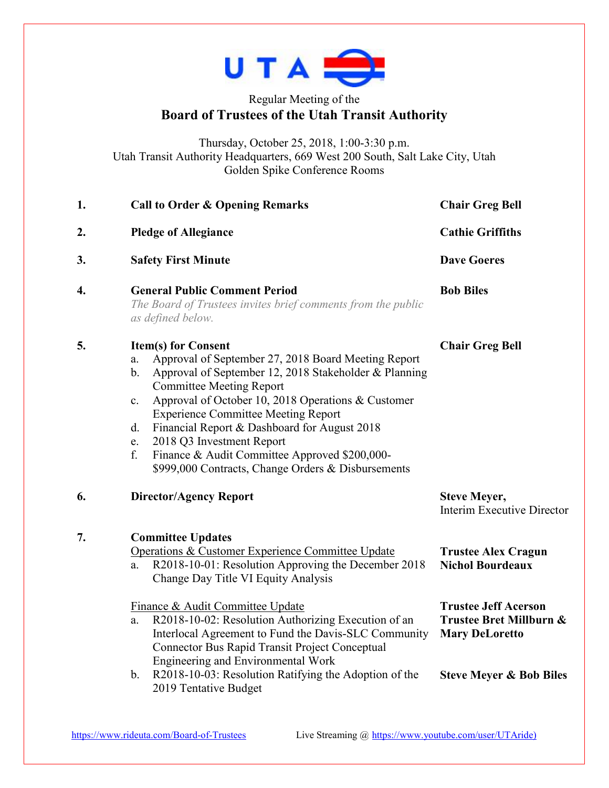

## Regular Meeting of the **Board of Trustees of the Utah Transit Authority**

Thursday, October 25, 2018, 1:00-3:30 p.m. Utah Transit Authority Headquarters, 669 West 200 South, Salt Lake City, Utah Golden Spike Conference Rooms

| 1.               | <b>Call to Order &amp; Opening Remarks</b>                                                                                                                                                                                                                                                                                                                                                                                                                                                                               | <b>Chair Greg Bell</b>                                                                      |  |
|------------------|--------------------------------------------------------------------------------------------------------------------------------------------------------------------------------------------------------------------------------------------------------------------------------------------------------------------------------------------------------------------------------------------------------------------------------------------------------------------------------------------------------------------------|---------------------------------------------------------------------------------------------|--|
| 2.               | <b>Pledge of Allegiance</b>                                                                                                                                                                                                                                                                                                                                                                                                                                                                                              | <b>Cathie Griffiths</b><br><b>Dave Goeres</b><br><b>Bob Biles</b><br><b>Chair Greg Bell</b> |  |
| 3.               | <b>Safety First Minute</b>                                                                                                                                                                                                                                                                                                                                                                                                                                                                                               |                                                                                             |  |
| $\overline{4}$ . | <b>General Public Comment Period</b><br>The Board of Trustees invites brief comments from the public<br>as defined below.                                                                                                                                                                                                                                                                                                                                                                                                |                                                                                             |  |
| 5.               | <b>Item(s) for Consent</b><br>Approval of September 27, 2018 Board Meeting Report<br>a.<br>Approval of September 12, 2018 Stakeholder & Planning<br>$b$ .<br><b>Committee Meeting Report</b><br>Approval of October 10, 2018 Operations & Customer<br>$\mathbf{c}$ .<br><b>Experience Committee Meeting Report</b><br>Financial Report & Dashboard for August 2018<br>d.<br>2018 Q3 Investment Report<br>e.<br>Finance & Audit Committee Approved \$200,000-<br>f.<br>\$999,000 Contracts, Change Orders & Disbursements |                                                                                             |  |
| 6.               | <b>Director/Agency Report</b>                                                                                                                                                                                                                                                                                                                                                                                                                                                                                            | <b>Steve Meyer,</b><br>Interim Executive Director                                           |  |
| 7.               | <b>Committee Updates</b><br>Operations & Customer Experience Committee Update<br>R2018-10-01: Resolution Approving the December 2018<br>a.<br>Change Day Title VI Equity Analysis                                                                                                                                                                                                                                                                                                                                        | <b>Trustee Alex Cragun</b><br><b>Nichol Bourdeaux</b>                                       |  |
|                  | Finance & Audit Committee Update<br>R2018-10-02: Resolution Authorizing Execution of an<br>a.<br>Interlocal Agreement to Fund the Davis-SLC Community<br>Connector Bus Rapid Transit Project Conceptual<br>Engineering and Environmental Work                                                                                                                                                                                                                                                                            | <b>Trustee Jeff Acerson</b><br>Trustee Bret Millburn &<br><b>Mary DeLoretto</b>             |  |
|                  | R2018-10-03: Resolution Ratifying the Adoption of the<br>$\mathbf b$ .<br>2019 Tentative Budget                                                                                                                                                                                                                                                                                                                                                                                                                          | <b>Steve Meyer &amp; Bob Biles</b>                                                          |  |